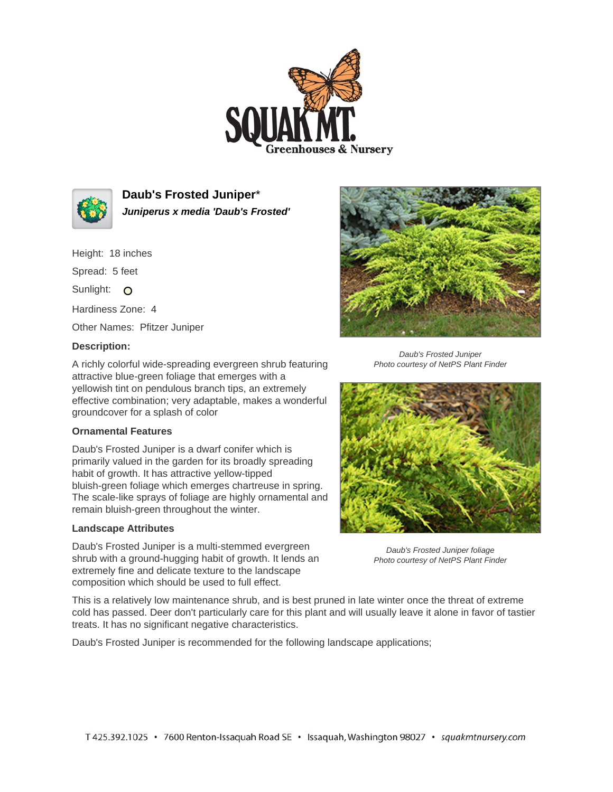



**Daub's Frosted Juniper**\* **Juniperus x media 'Daub's Frosted'**

Height: 18 inches

Spread: 5 feet

Sunlight: O

Hardiness Zone: 4

Other Names: Pfitzer Juniper

## **Description:**

A richly colorful wide-spreading evergreen shrub featuring attractive blue-green foliage that emerges with a yellowish tint on pendulous branch tips, an extremely effective combination; very adaptable, makes a wonderful groundcover for a splash of color

## **Ornamental Features**

Daub's Frosted Juniper is a dwarf conifer which is primarily valued in the garden for its broadly spreading habit of growth. It has attractive yellow-tipped bluish-green foliage which emerges chartreuse in spring. The scale-like sprays of foliage are highly ornamental and remain bluish-green throughout the winter.

## **Landscape Attributes**

Daub's Frosted Juniper is a multi-stemmed evergreen shrub with a ground-hugging habit of growth. It lends an extremely fine and delicate texture to the landscape composition which should be used to full effect.



Daub's Frosted Juniper Photo courtesy of NetPS Plant Finder



Daub's Frosted Juniper foliage Photo courtesy of NetPS Plant Finder

This is a relatively low maintenance shrub, and is best pruned in late winter once the threat of extreme cold has passed. Deer don't particularly care for this plant and will usually leave it alone in favor of tastier treats. It has no significant negative characteristics.

Daub's Frosted Juniper is recommended for the following landscape applications;